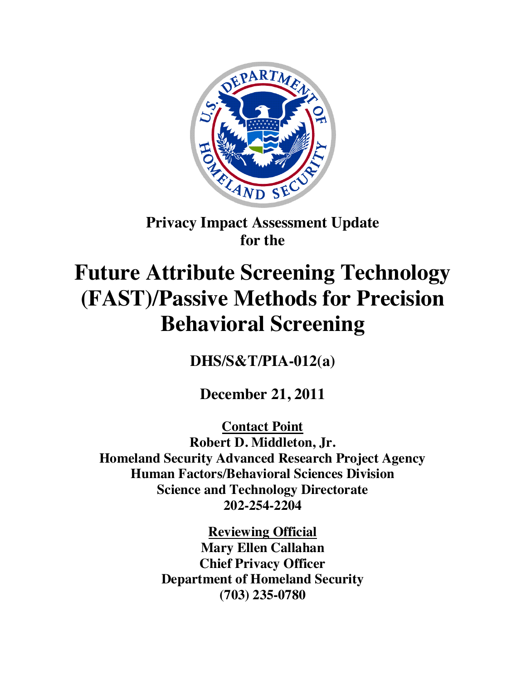

## **Privacy Impact Assessment Update for the**

# **Future Attribute Screening Technology (FAST)/Passive Methods for Precision Behavioral Screening**

**DHS/S&T/PIA-012(a)**

**December 21, 2011**

**Contact Point Robert D. Middleton, Jr. Homeland Security Advanced Research Project Agency Human Factors/Behavioral Sciences Division Science and Technology Directorate 202-254-2204**

> **Reviewing Official Mary Ellen Callahan Chief Privacy Officer Department of Homeland Security (703) 235-0780**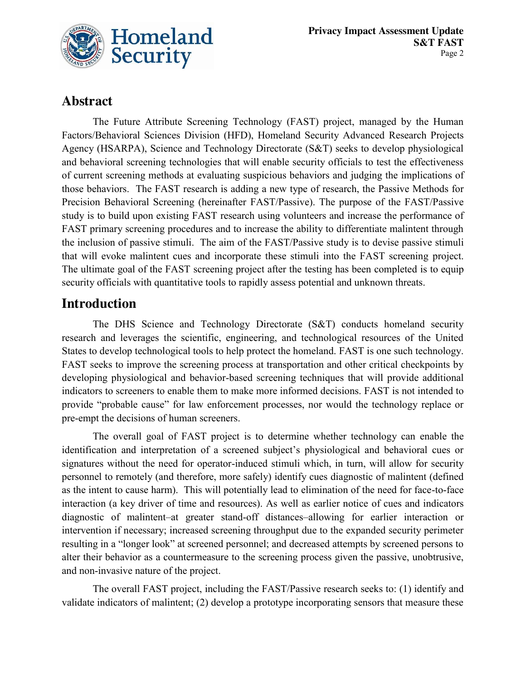

## **Abstract**

The Future Attribute Screening Technology (FAST) project, managed by the Human Factors/Behavioral Sciences Division (HFD), Homeland Security Advanced Research Projects Agency (HSARPA), Science and Technology Directorate (S&T) seeks to develop physiological and behavioral screening technologies that will enable security officials to test the effectiveness of current screening methods at evaluating suspicious behaviors and judging the implications of those behaviors. The FAST research is adding a new type of research, the Passive Methods for Precision Behavioral Screening (hereinafter FAST/Passive). The purpose of the FAST/Passive study is to build upon existing FAST research using volunteers and increase the performance of FAST primary screening procedures and to increase the ability to differentiate malintent through the inclusion of passive stimuli. The aim of the FAST/Passive study is to devise passive stimuli that will evoke malintent cues and incorporate these stimuli into the FAST screening project. The ultimate goal of the FAST screening project after the testing has been completed is to equip security officials with quantitative tools to rapidly assess potential and unknown threats.

## **Introduction**

The DHS Science and Technology Directorate (S&T) conducts homeland security research and leverages the scientific, engineering, and technological resources of the United States to develop technological tools to help protect the homeland. FAST is one such technology. FAST seeks to improve the screening process at transportation and other critical checkpoints by developing physiological and behavior-based screening techniques that will provide additional indicators to screeners to enable them to make more informed decisions. FAST is not intended to provide "probable cause" for law enforcement processes, nor would the technology replace or pre-empt the decisions of human screeners.

The overall goal of FAST project is to determine whether technology can enable the identification and interpretation of a screened subject's physiological and behavioral cues or signatures without the need for operator-induced stimuli which, in turn, will allow for security personnel to remotely (and therefore, more safely) identify cues diagnostic of malintent (defined as the intent to cause harm). This will potentially lead to elimination of the need for face-to-face interaction (a key driver of time and resources). As well as earlier notice of cues and indicators diagnostic of malintent*–*at greater stand-off distances*–*allowing for earlier interaction or intervention if necessary; increased screening throughput due to the expanded security perimeter resulting in a "longer look" at screened personnel; and decreased attempts by screened persons to alter their behavior as a countermeasure to the screening process given the passive, unobtrusive, and non-invasive nature of the project.

The overall FAST project, including the FAST/Passive research seeks to: (1) identify and validate indicators of malintent; (2) develop a prototype incorporating sensors that measure these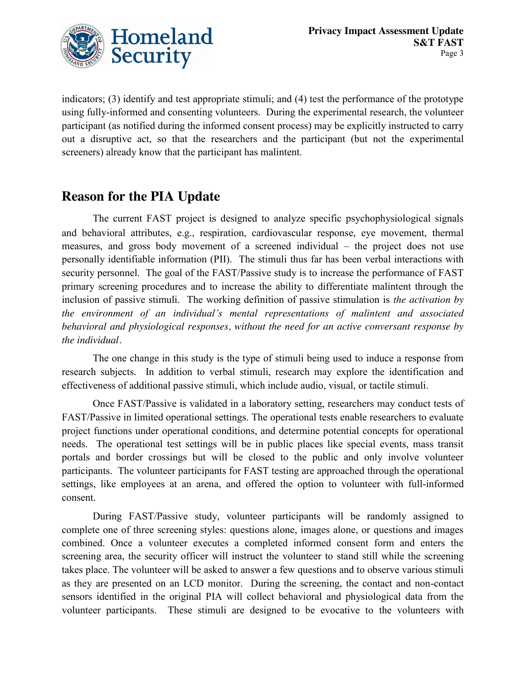

indicators; (3) identify and test appropriate stimuli; and (4) test the performance of the prototype using fully-informed and consenting volunteers. During the experimental research, the volunteer participant (as notified during the informed consent process) may be explicitly instructed to carry out a disruptive act, so that the researchers and the participant (but not the experimental screeners) already know that the participant has malintent.

## **Reason for the PIA Update**

The current FAST project is designed to analyze specific psychophysiological signals and behavioral attributes, e.g., respiration, cardiovascular response, eye movement, thermal measures, and gross body movement of a screened individual – the project does not use personally identifiable information (PII). The stimuli thus far has been verbal interactions with security personnel. The goal of the FAST/Passive study is to increase the performance of FAST primary screening procedures and to increase the ability to differentiate malintent through the inclusion of passive stimuli. The working definition of passive stimulation is *the activation by the environment of an individual's mental representations of malintent and associated behavioral and physiological responses, without the need for an active conversant response by the individual.* 

The one change in this study is the type of stimuli being used to induce a response from research subjects. In addition to verbal stimuli, research may explore the identification and effectiveness of additional passive stimuli, which include audio, visual, or tactile stimuli.

Once FAST/Passive is validated in a laboratory setting, researchers may conduct tests of FAST/Passive in limited operational settings. The operational tests enable researchers to evaluate project functions under operational conditions, and determine potential concepts for operational needs. The operational test settings will be in public places like special events, mass transit portals and border crossings but will be closed to the public and only involve volunteer participants. The volunteer participants for FAST testing are approached through the operational settings, like employees at an arena, and offered the option to volunteer with full-informed consent.

During FAST/Passive study, volunteer participants will be randomly assigned to complete one of three screening styles: questions alone, images alone, or questions and images combined. Once a volunteer executes a completed informed consent form and enters the screening area, the security officer will instruct the volunteer to stand still while the screening takes place. The volunteer will be asked to answer a few questions and to observe various stimuli as they are presented on an LCD monitor. During the screening, the contact and non-contact sensors identified in the original PIA will collect behavioral and physiological data from the volunteer participants. These stimuli are designed to be evocative to the volunteers with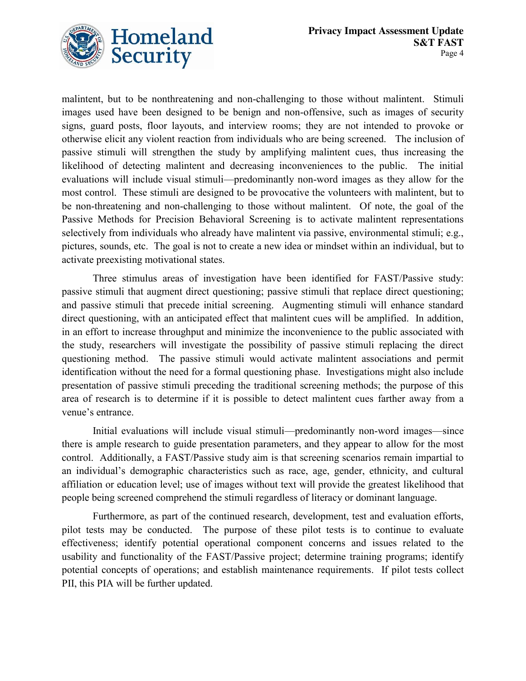

malintent, but to be nonthreatening and non-challenging to those without malintent. Stimuli images used have been designed to be benign and non-offensive, such as images of security signs, guard posts, floor layouts, and interview rooms; they are not intended to provoke or otherwise elicit any violent reaction from individuals who are being screened. The inclusion of passive stimuli will strengthen the study by amplifying malintent cues, thus increasing the likelihood of detecting malintent and decreasing inconveniences to the public. The initial evaluations will include visual stimuli—predominantly non-word images as they allow for the most control. These stimuli are designed to be provocative the volunteers with malintent, but to be non-threatening and non-challenging to those without malintent. Of note, the goal of the Passive Methods for Precision Behavioral Screening is to activate malintent representations selectively from individuals who already have malintent via passive, environmental stimuli; e.g., pictures, sounds, etc. The goal is not to create a new idea or mindset within an individual, but to activate preexisting motivational states.

Three stimulus areas of investigation have been identified for FAST/Passive study: passive stimuli that augment direct questioning; passive stimuli that replace direct questioning; and passive stimuli that precede initial screening. Augmenting stimuli will enhance standard direct questioning, with an anticipated effect that malintent cues will be amplified. In addition, in an effort to increase throughput and minimize the inconvenience to the public associated with the study, researchers will investigate the possibility of passive stimuli replacing the direct questioning method. The passive stimuli would activate malintent associations and permit identification without the need for a formal questioning phase. Investigations might also include presentation of passive stimuli preceding the traditional screening methods; the purpose of this area of research is to determine if it is possible to detect malintent cues farther away from a venue's entrance.

Initial evaluations will include visual stimuli—predominantly non-word images—since there is ample research to guide presentation parameters, and they appear to allow for the most control. Additionally, a FAST/Passive study aim is that screening scenarios remain impartial to an individual's demographic characteristics such as race, age, gender, ethnicity, and cultural affiliation or education level; use of images without text will provide the greatest likelihood that people being screened comprehend the stimuli regardless of literacy or dominant language.

Furthermore, as part of the continued research, development, test and evaluation efforts, pilot tests may be conducted. The purpose of these pilot tests is to continue to evaluate effectiveness; identify potential operational component concerns and issues related to the usability and functionality of the FAST/Passive project; determine training programs; identify potential concepts of operations; and establish maintenance requirements. If pilot tests collect PII, this PIA will be further updated.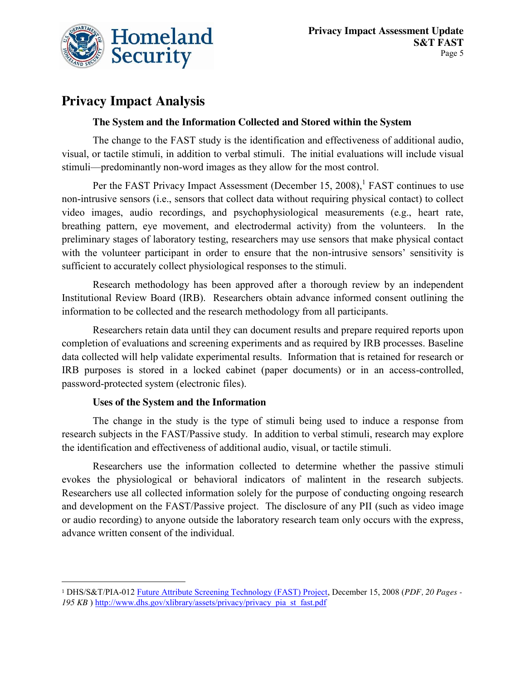

## **Privacy Impact Analysis**

#### **The System and the Information Collected and Stored within the System**

The change to the FAST study is the identification and effectiveness of additional audio, visual, or tactile stimuli, in addition to verbal stimuli. The initial evaluations will include visual stimuli—predominantly non-word images as they allow for the most control.

Per the FAST Privacy Impact Assessment (December 15, 2008),<sup>1</sup> FAST continues to use non-intrusive sensors (i.e., sensors that collect data without requiring physical contact) to collect video images, audio recordings, and psychophysiological measurements (e.g., heart rate, breathing pattern, eye movement, and electrodermal activity) from the volunteers. In the preliminary stages of laboratory testing, researchers may use sensors that make physical contact with the volunteer participant in order to ensure that the non-intrusive sensors' sensitivity is sufficient to accurately collect physiological responses to the stimuli.

Research methodology has been approved after a thorough review by an independent Institutional Review Board (IRB). Researchers obtain advance informed consent outlining the information to be collected and the research methodology from all participants.

Researchers retain data until they can document results and prepare required reports upon completion of evaluations and screening experiments and as required by IRB processes. Baseline data collected will help validate experimental results. Information that is retained for research or IRB purposes is stored in a locked cabinet (paper documents) or in an access-controlled, password-protected system (electronic files).

#### **Uses of the System and the Information**

 $\overline{a}$ 

The change in the study is the type of stimuli being used to induce a response from research subjects in the FAST/Passive study. In addition to verbal stimuli, research may explore the identification and effectiveness of additional audio, visual, or tactile stimuli.

Researchers use the information collected to determine whether the passive stimuli evokes the physiological or behavioral indicators of malintent in the research subjects. Researchers use all collected information solely for the purpose of conducting ongoing research and development on the FAST/Passive project. The disclosure of any PII (such as video image or audio recording) to anyone outside the laboratory research team only occurs with the express, advance written consent of the individual.

<sup>1</sup> DHS/S&T/PIA-012 [Future Attribute Screening Technology \(FAST\) Project,](http://www.dhs.gov/xlibrary/assets/privacy/privacy_pia_st_fast.pdf) December 15, 2008 (*PDF, 20 Pages -* 195 KB [\) http://www.dhs.gov/xlibrary/assets/privacy/privacy\\_pia\\_st\\_fast.pdf](http://www.dhs.gov/xlibrary/assets/privacy/privacy_pia_st_fast.pdf)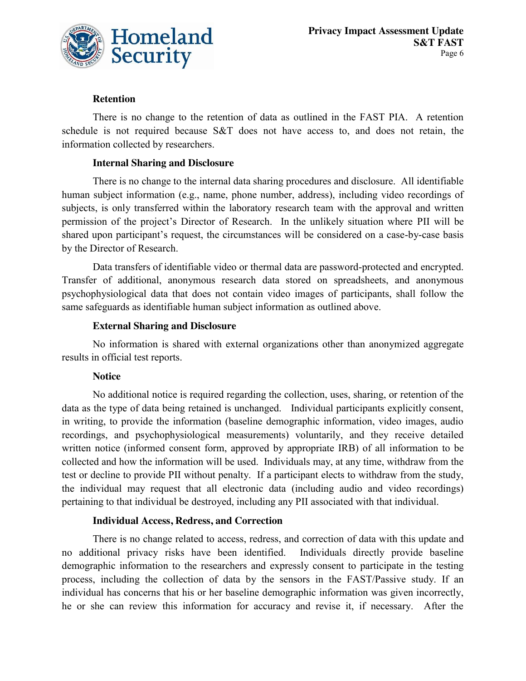

#### **Retention**

There is no change to the retention of data as outlined in the FAST PIA. A retention schedule is not required because S&T does not have access to, and does not retain, the information collected by researchers.

#### **Internal Sharing and Disclosure**

There is no change to the internal data sharing procedures and disclosure. All identifiable human subject information (e.g., name, phone number, address), including video recordings of subjects, is only transferred within the laboratory research team with the approval and written permission of the project's Director of Research. In the unlikely situation where PII will be shared upon participant's request, the circumstances will be considered on a case-by-case basis by the Director of Research.

Data transfers of identifiable video or thermal data are password-protected and encrypted. Transfer of additional, anonymous research data stored on spreadsheets, and anonymous psychophysiological data that does not contain video images of participants, shall follow the same safeguards as identifiable human subject information as outlined above.

#### **External Sharing and Disclosure**

No information is shared with external organizations other than anonymized aggregate results in official test reports.

#### **Notice**

No additional notice is required regarding the collection, uses, sharing, or retention of the data as the type of data being retained is unchanged. Individual participants explicitly consent, in writing, to provide the information (baseline demographic information, video images, audio recordings, and psychophysiological measurements) voluntarily, and they receive detailed written notice (informed consent form, approved by appropriate IRB) of all information to be collected and how the information will be used. Individuals may, at any time, withdraw from the test or decline to provide PII without penalty. If a participant elects to withdraw from the study, the individual may request that all electronic data (including audio and video recordings) pertaining to that individual be destroyed, including any PII associated with that individual.

#### **Individual Access, Redress, and Correction**

There is no change related to access, redress, and correction of data with this update and no additional privacy risks have been identified. Individuals directly provide baseline demographic information to the researchers and expressly consent to participate in the testing process, including the collection of data by the sensors in the FAST/Passive study. If an individual has concerns that his or her baseline demographic information was given incorrectly, he or she can review this information for accuracy and revise it, if necessary. After the